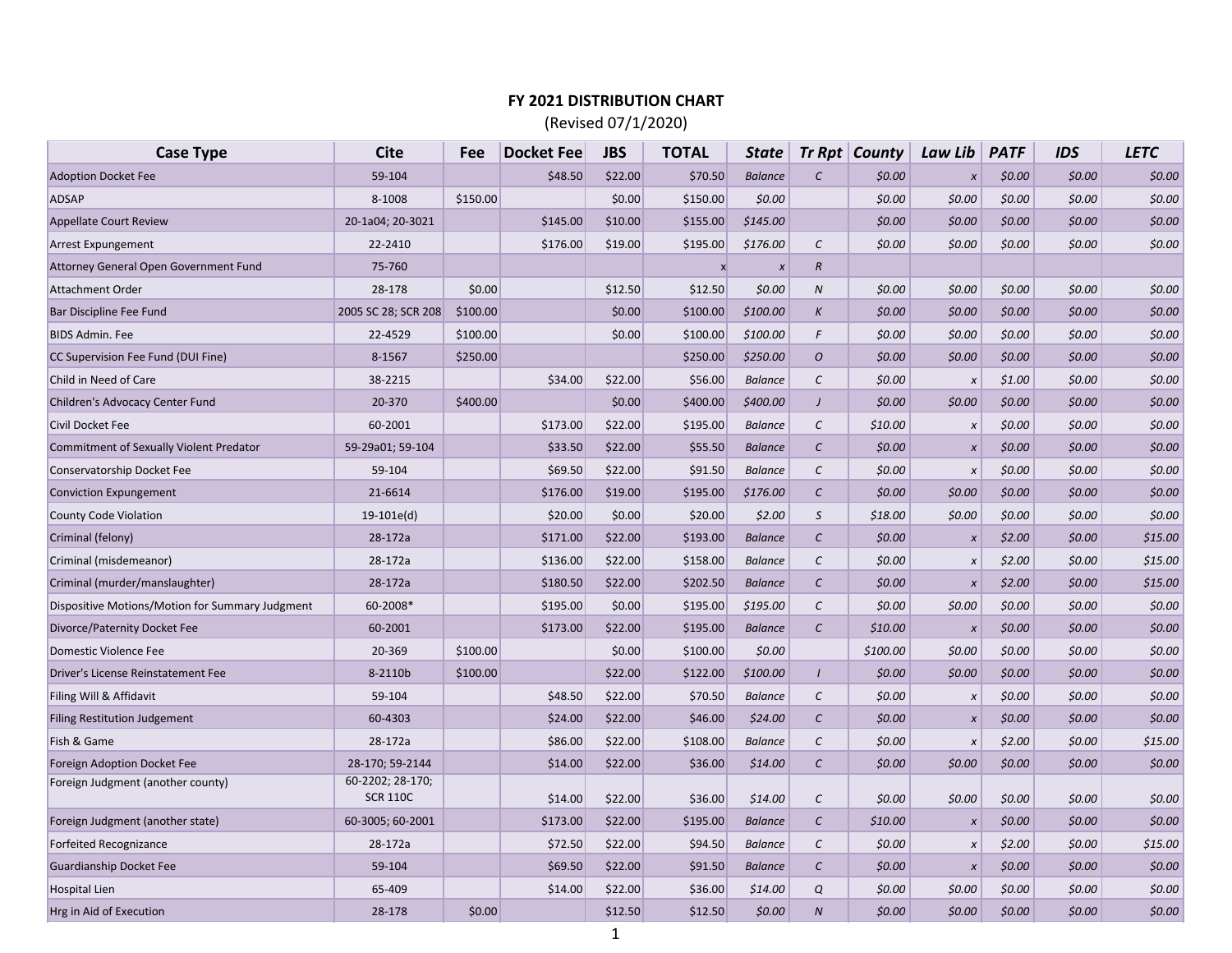## **FY 2021 DISTRIBUTION CHART**

(Revised 07/1/2020)

| <b>Case Type</b>                                | Cite                | Fee      | <b>Docket Fee</b> | <b>JBS</b> | <b>TOTAL</b>     | State          |                  | $Tr Rpt$ County | Law Lib      | <b>PATF</b> | <b>IDS</b> | <b>LETC</b> |
|-------------------------------------------------|---------------------|----------|-------------------|------------|------------------|----------------|------------------|-----------------|--------------|-------------|------------|-------------|
| <b>Adoption Docket Fee</b>                      | 59-104              |          | \$48.50           | \$22.00    | \$70.50          | <b>Balance</b> | $\mathcal{C}$    | \$0.00          | $\pmb{\chi}$ | \$0.00      | \$0.00     | \$0.00      |
| <b>ADSAP</b>                                    | 8-1008              | \$150.00 |                   | \$0.00     | \$150.00         | \$0.00         |                  | \$0.00          | \$0.00       | \$0.00      | \$0.00     | \$0.00      |
| <b>Appellate Court Review</b>                   | 20-1a04; 20-3021    |          | \$145.00          | \$10.00    | \$155.00         | \$145.00       |                  | \$0.00          | \$0.00       | \$0.00      | \$0.00     | \$0.00      |
| <b>Arrest Expungement</b>                       | 22-2410             |          | \$176.00          | \$19.00    | \$195.00         | \$176.00       | $\mathcal{C}$    | \$0.00          | \$0.00       | \$0.00      | \$0.00     | \$0.00\$    |
| Attorney General Open Government Fund           | 75-760              |          |                   |            | $\boldsymbol{x}$ | $\pmb{x}$      | $\boldsymbol{R}$ |                 |              |             |            |             |
| <b>Attachment Order</b>                         | 28-178              | \$0.00   |                   | \$12.50    | \$12.50          | \$0.00         | N                | \$0.00          | \$0.00       | \$0.00      | \$0.00     | \$0.00      |
| Bar Discipline Fee Fund                         | 2005 SC 28; SCR 208 | \$100.00 |                   | \$0.00     | \$100.00         | \$100.00       | $\boldsymbol{K}$ | \$0.00          | \$0.00       | \$0.00      | \$0.00     | \$0.00      |
| <b>BIDS Admin. Fee</b>                          | 22-4529             | \$100.00 |                   | \$0.00     | \$100.00         | \$100.00       | F                | \$0.00          | \$0.00       | \$0.00      | \$0.00     | \$0.00      |
| CC Supervision Fee Fund (DUI Fine)              | 8-1567              | \$250.00 |                   |            | \$250.00         | \$250.00       | O                | \$0.00          | \$0.00       | \$0.00      | \$0.00     | \$0.00      |
| Child in Need of Care                           | 38-2215             |          | \$34.00           | \$22.00    | \$56.00          | <b>Balance</b> | $\mathcal{C}$    | \$0.00          | $\pmb{\chi}$ | \$1.00      | \$0.00     | \$0.00      |
| Children's Advocacy Center Fund                 | 20-370              | \$400.00 |                   | \$0.00     | \$400.00         | \$400.00       | $\overline{J}$   | \$0.00          | \$0.00       | \$0.00      | \$0.00     | \$0.00\$    |
| Civil Docket Fee                                | 60-2001             |          | \$173.00          | \$22.00    | \$195.00         | <b>Balance</b> | $\mathcal{C}$    | \$10.00         | $\pmb{\chi}$ | \$0.00      | \$0.00     | \$0.00      |
| <b>Commitment of Sexually Violent Predator</b>  | 59-29a01; 59-104    |          | \$33.50           | \$22.00    | \$55.50          | <b>Balance</b> | $\mathcal{C}$    | \$0.00          | $\pmb{\chi}$ | \$0.00      | \$0.00     | \$0.00      |
| Conservatorship Docket Fee                      | 59-104              |          | \$69.50           | \$22.00    | \$91.50          | <b>Balance</b> | $\mathcal{C}$    | \$0.00          | $\pmb{\chi}$ | \$0.00      | \$0.00     | \$0.00      |
| <b>Conviction Expungement</b>                   | 21-6614             |          | \$176.00          | \$19.00    | \$195.00         | \$176.00       | $\mathcal{C}$    | \$0.00          | \$0.00       | \$0.00      | \$0.00     | \$0.00      |
| <b>County Code Violation</b>                    | $19-101e(d)$        |          | \$20.00           | \$0.00     | \$20.00          | \$2.00         | $\mathcal S$     | \$18.00         | \$0.00       | \$0.00      | \$0.00     | \$0.00\$    |
| Criminal (felony)                               | 28-172a             |          | \$171.00          | \$22.00    | \$193.00         | <b>Balance</b> | $\mathcal{C}$    | \$0.00          | $\pmb{\chi}$ | \$2.00      | \$0.00     | \$15.00     |
| Criminal (misdemeanor)                          | 28-172a             |          | \$136.00          | \$22.00    | \$158.00         | <b>Balance</b> | $\mathcal{C}$    | \$0.00          | $\pmb{\chi}$ | \$2.00      | \$0.00     | \$15.00     |
| Criminal (murder/manslaughter)                  | 28-172a             |          | \$180.50          | \$22.00    | \$202.50         | <b>Balance</b> | $\mathcal{C}$    | \$0.00          | $\pmb{\chi}$ | \$2.00      | \$0.00     | \$15.00     |
| Dispositive Motions/Motion for Summary Judgment | 60-2008*            |          | \$195.00          | \$0.00     | \$195.00         | \$195.00       | $\mathcal{C}$    | \$0.00          | \$0.00       | \$0.00      | \$0.00     | \$0.00      |
| Divorce/Paternity Docket Fee                    | 60-2001             |          | \$173.00          | \$22.00    | \$195.00         | <b>Balance</b> | $\mathcal{C}$    | \$10.00         | $\pmb{\chi}$ | \$0.00      | \$0.00     | \$0.00      |
| Domestic Violence Fee                           | 20-369              | \$100.00 |                   | \$0.00     | \$100.00         | \$0.00         |                  | \$100.00        | \$0.00       | \$0.00      | \$0.00     | \$0.00      |
| Driver's License Reinstatement Fee              | 8-2110b             | \$100.00 |                   | \$22.00    | \$122.00         | \$100.00       | $\prime$         | \$0.00          | \$0.00       | \$0.00      | \$0.00     | \$0.00      |
| Filing Will & Affidavit                         | 59-104              |          | \$48.50           | \$22.00    | \$70.50          | <b>Balance</b> | $\mathcal{C}$    | \$0.00          | $\pmb{\chi}$ | \$0.00      | \$0.00     | \$0.00      |
| Filing Restitution Judgement                    | 60-4303             |          | \$24.00           | \$22.00    | \$46.00          | \$24.00        | $\mathcal{C}$    | \$0.00          | $\pmb{\chi}$ | \$0.00      | \$0.00     | \$0.00      |
| Fish & Game                                     | 28-172a             |          | \$86.00           | \$22.00    | \$108.00         | <b>Balance</b> | $\mathcal{C}$    | \$0.00          | X            | \$2.00      | \$0.00     | \$15.00     |
| Foreign Adoption Docket Fee                     | 28-170; 59-2144     |          | \$14.00           | \$22.00    | \$36.00          | \$14.00        | $\mathcal{C}$    | \$0.00          | \$0.00       | \$0.00      | \$0.00     | \$0.00      |
| Foreign Judgment (another county)               | 60-2202; 28-170;    |          |                   |            |                  |                |                  |                 |              |             |            |             |
|                                                 | <b>SCR 110C</b>     |          | \$14.00           | \$22.00    | \$36.00          | \$14.00        | $\mathcal{C}$    | \$0.00          | \$0.00       | \$0.00      | \$0.00     | \$0.00      |
| Foreign Judgment (another state)                | 60-3005; 60-2001    |          | \$173.00          | \$22.00    | \$195.00         | <b>Balance</b> | $\mathcal{C}$    | \$10.00         | $\pmb{\chi}$ | \$0.00      | \$0.00     | \$0.00      |
| <b>Forfeited Recognizance</b>                   | 28-172a             |          | \$72.50           | \$22.00    | \$94.50          | <b>Balance</b> | $\cal C$         | \$0.00          | $\pmb{\chi}$ | \$2.00      | \$0.00     | \$15.00     |
| <b>Guardianship Docket Fee</b>                  | 59-104              |          | \$69.50           | \$22.00    | \$91.50          | <b>Balance</b> | $\mathcal{C}$    | \$0.00          | $\pmb{\chi}$ | \$0.00      | \$0.00     | \$0.00      |
| <b>Hospital Lien</b>                            | 65-409              |          | \$14.00           | \$22.00    | \$36.00          | \$14.00        | Q                | \$0.00          | \$0.00       | \$0.00      | \$0.00     | \$0.00      |
| Hrg in Aid of Execution                         | 28-178              | \$0.00   |                   | \$12.50    | \$12.50          | \$0.00         | $\boldsymbol{N}$ | \$0.00          | \$0.00       | \$0.00      | \$0.00     | \$0.00\$    |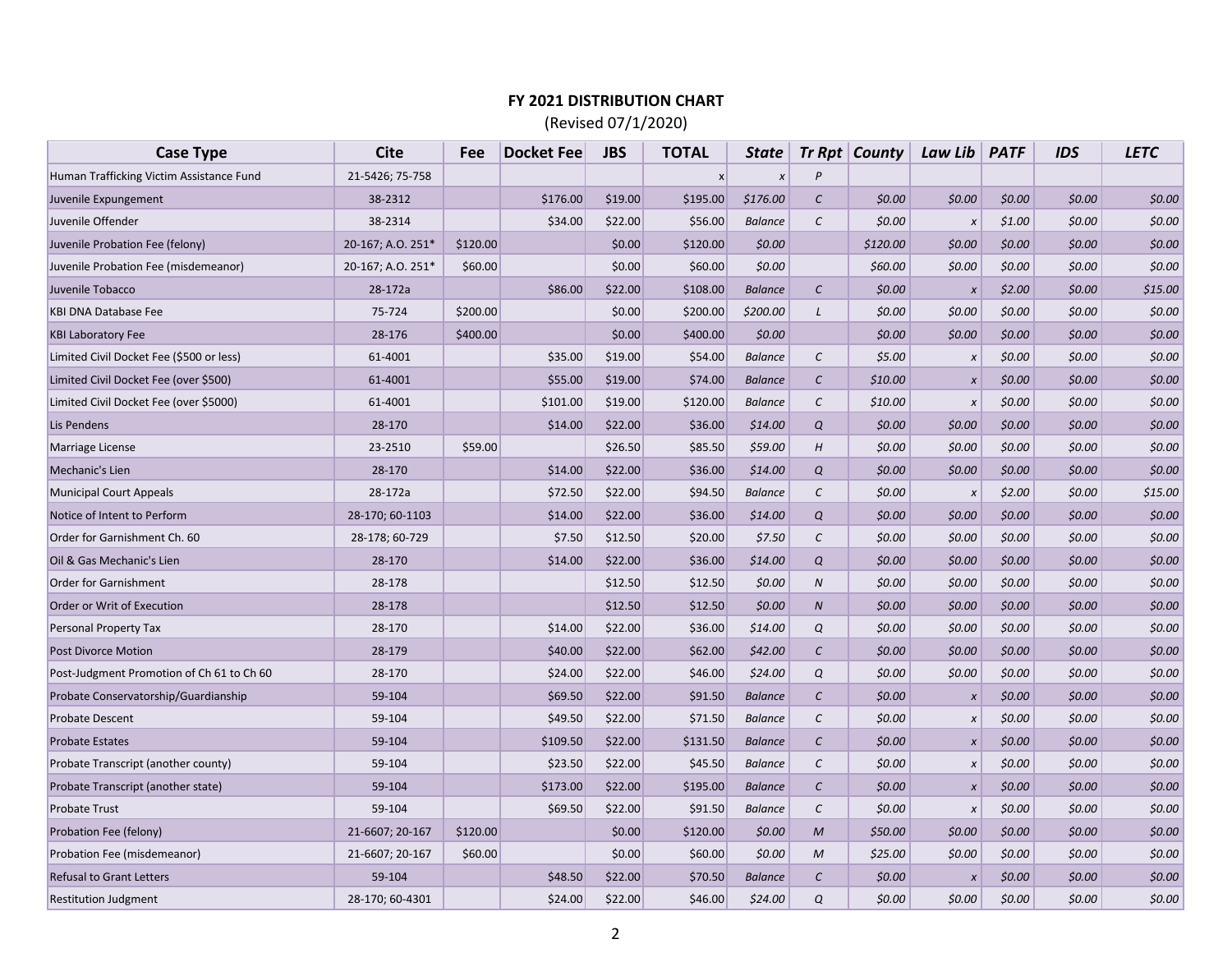## **FY 2021 DISTRIBUTION CHART**

(Revised 07/1/2020)

| <b>Case Type</b>                          | <b>Cite</b>       | Fee      | <b>Docket Fee</b> | <b>JBS</b> | <b>TOTAL</b> | <b>State</b>   |                  | $Tr Rpt  $ County | Law Lib      | <b>PATF</b> | <b>IDS</b> | <b>LETC</b> |
|-------------------------------------------|-------------------|----------|-------------------|------------|--------------|----------------|------------------|-------------------|--------------|-------------|------------|-------------|
| Human Trafficking Victim Assistance Fund  | 21-5426; 75-758   |          |                   |            | $\mathsf{x}$ | $\pmb{\chi}$   | P                |                   |              |             |            |             |
| Juvenile Expungement                      | 38-2312           |          | \$176.00          | \$19.00    | \$195.00     | \$176.00       | $\mathcal{C}$    | \$0.00            | \$0.00       | \$0.00      | \$0.00     | \$0.00      |
| Juvenile Offender                         | 38-2314           |          | \$34.00           | \$22.00    | \$56.00      | <b>Balance</b> | $\mathcal{C}$    | \$0.00            | $\pmb{\chi}$ | \$1.00      | \$0.00     | \$0.00      |
| Juvenile Probation Fee (felony)           | 20-167; A.O. 251* | \$120.00 |                   | \$0.00     | \$120.00     | \$0.00         |                  | \$120.00          | \$0.00       | \$0.00      | \$0.00     | \$0.00      |
| Juvenile Probation Fee (misdemeanor)      | 20-167; A.O. 251* | \$60.00  |                   | \$0.00     | \$60.00      | \$0.00         |                  | \$60.00           | \$0.00       | \$0.00      | \$0.00     | \$0.00      |
| Juvenile Tobacco                          | 28-172a           |          | \$86.00           | \$22.00    | \$108.00     | <b>Balance</b> | $\mathcal{C}$    | \$0.00            | $\pmb{\chi}$ | \$2.00      | \$0.00     | \$15.00     |
| <b>KBI DNA Database Fee</b>               | 75-724            | \$200.00 |                   | \$0.00     | \$200.00     | \$200.00       | L                | \$0.00            | \$0.00       | \$0.00      | \$0.00     | \$0.00      |
| <b>KBI Laboratory Fee</b>                 | 28-176            | \$400.00 |                   | \$0.00     | \$400.00     | \$0.00         |                  | \$0.00            | \$0.00       | \$0.00      | \$0.00     | \$0.00      |
| Limited Civil Docket Fee (\$500 or less)  | 61-4001           |          | \$35.00           | \$19.00    | \$54.00      | <b>Balance</b> | $\cal C$         | \$5.00            | $\pmb{\chi}$ | \$0.00      | \$0.00     | \$0.00      |
| Limited Civil Docket Fee (over \$500)     | 61-4001           |          | \$55.00           | \$19.00    | \$74.00      | <b>Balance</b> | $\mathcal{C}$    | \$10.00           | $\pmb{\chi}$ | \$0.00      | \$0.00     | \$0.00      |
| Limited Civil Docket Fee (over \$5000)    | 61-4001           |          | \$101.00          | \$19.00    | \$120.00     | <b>Balance</b> | $\mathcal{C}$    | \$10.00           | $\pmb{\chi}$ | \$0.00      | \$0.00     | \$0.00      |
| Lis Pendens                               | 28-170            |          | \$14.00           | \$22.00    | \$36.00      | \$14.00        | Q                | \$0.00            | \$0.00       | \$0.00      | \$0.00     | \$0.00      |
| Marriage License                          | 23-2510           | \$59.00  |                   | \$26.50    | \$85.50      | \$59.00        | H                | \$0.00            | \$0.00       | \$0.00      | \$0.00     | \$0.00      |
| Mechanic's Lien                           | 28-170            |          | \$14.00           | \$22.00    | \$36.00      | \$14.00        | Q                | \$0.00            | \$0.00       | \$0.00      | \$0.00     | \$0.00      |
| <b>Municipal Court Appeals</b>            | 28-172a           |          | \$72.50           | \$22.00    | \$94.50      | <b>Balance</b> | $\mathcal{C}$    | \$0.00            | $\pmb{\chi}$ | \$2.00      | \$0.00     | \$15.00     |
| Notice of Intent to Perform               | 28-170; 60-1103   |          | \$14.00           | \$22.00    | \$36.00      | \$14.00        | Q                | \$0.00            | \$0.00       | \$0.00      | \$0.00     | \$0.00      |
| Order for Garnishment Ch. 60              | 28-178; 60-729    |          | \$7.50            | \$12.50    | \$20.00      | \$7.50         | $\mathcal{C}$    | \$0.00            | \$0.00       | \$0.00      | \$0.00     | \$0.00      |
| Oil & Gas Mechanic's Lien                 | 28-170            |          | \$14.00           | \$22.00    | \$36.00      | \$14.00        | Q                | \$0.00            | \$0.00       | \$0.00      | \$0.00     | \$0.00      |
| Order for Garnishment                     | 28-178            |          |                   | \$12.50    | \$12.50      | \$0.00         | ${\cal N}$       | \$0.00            | \$0.00       | \$0.00      | \$0.00     | \$0.00      |
| Order or Writ of Execution                | 28-178            |          |                   | \$12.50    | \$12.50      | \$0.00         | $\boldsymbol{N}$ | \$0.00            | \$0.00       | \$0.00      | \$0.00     | \$0.00      |
| Personal Property Tax                     | 28-170            |          | \$14.00           | \$22.00    | \$36.00      | \$14.00        | Q                | \$0.00            | \$0.00       | \$0.00      | \$0.00     | \$0.00      |
| <b>Post Divorce Motion</b>                | 28-179            |          | \$40.00           | \$22.00    | \$62.00      | \$42.00        | $\mathcal{C}$    | \$0.00            | \$0.00       | \$0.00      | \$0.00     | \$0.00      |
| Post-Judgment Promotion of Ch 61 to Ch 60 | 28-170            |          | \$24.00           | \$22.00    | \$46.00      | \$24.00        | Q                | \$0.00            | \$0.00       | \$0.00      | \$0.00     | \$0.00      |
| Probate Conservatorship/Guardianship      | 59-104            |          | \$69.50           | \$22.00    | \$91.50      | <b>Balance</b> | $\mathcal{C}$    | \$0.00            | $\pmb{\chi}$ | \$0.00      | \$0.00     | \$0.00      |
| <b>Probate Descent</b>                    | 59-104            |          | \$49.50           | \$22.00    | \$71.50      | <b>Balance</b> | $\epsilon$       | \$0.00            | $\pmb{\chi}$ | \$0.00      | \$0.00     | \$0.00      |
| <b>Probate Estates</b>                    | 59-104            |          | \$109.50          | \$22.00    | \$131.50     | <b>Balance</b> | $\mathcal{C}$    | \$0.00            | $\pmb{\chi}$ | \$0.00      | \$0.00     | \$0.00      |
| Probate Transcript (another county)       | 59-104            |          | \$23.50           | \$22.00    | \$45.50      | <b>Balance</b> | $\mathcal{C}$    | \$0.00            | X            | \$0.00      | \$0.00     | \$0.00      |
| Probate Transcript (another state)        | 59-104            |          | \$173.00          | \$22.00    | \$195.00     | <b>Balance</b> | $\mathcal{C}$    | \$0.00            | $\pmb{\chi}$ | \$0.00      | \$0.00     | \$0.00      |
| <b>Probate Trust</b>                      | 59-104            |          | \$69.50           | \$22.00    | \$91.50      | <b>Balance</b> | $\mathcal{C}$    | \$0.00            | $\pmb{\chi}$ | \$0.00      | \$0.00     | \$0.00      |
| Probation Fee (felony)                    | 21-6607; 20-167   | \$120.00 |                   | \$0.00     | \$120.00     | \$0.00         | $\mathcal{M}$    | \$50.00           | \$0.00       | \$0.00      | \$0.00     | \$0.00      |
| Probation Fee (misdemeanor)               | 21-6607; 20-167   | \$60.00  |                   | \$0.00     | \$60.00      | \$0.00         | $\mathcal M$     | \$25.00           | \$0.00       | \$0.00      | \$0.00     | \$0.00      |
| <b>Refusal to Grant Letters</b>           | 59-104            |          | \$48.50           | \$22.00    | \$70.50      | <b>Balance</b> | $\mathcal{C}$    | \$0.00            | $\pmb{\chi}$ | \$0.00      | \$0.00     | \$0.00      |
| <b>Restitution Judgment</b>               | 28-170; 60-4301   |          | \$24.00           | \$22.00    | \$46.00      | \$24.00        | Q                | \$0.00            | \$0.00       | \$0.00      | \$0.00     | \$0.00      |